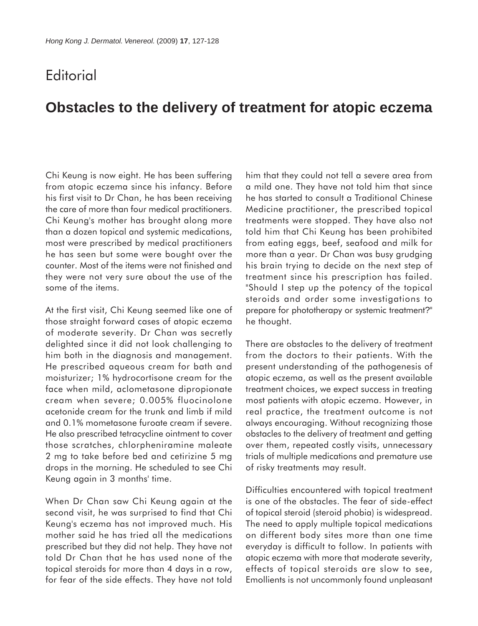## **Editorial**

## **Obstacles to the delivery of treatment for atopic eczema**

Chi Keung is now eight. He has been suffering from atopic eczema since his infancy. Before his first visit to Dr Chan, he has been receiving the care of more than four medical practitioners. Chi Keung's mother has brought along more than a dozen topical and systemic medications, most were prescribed by medical practitioners he has seen but some were bought over the counter. Most of the items were not finished and they were not very sure about the use of the some of the items.

At the first visit, Chi Keung seemed like one of those straight forward cases of atopic eczema of moderate severity. Dr Chan was secretly delighted since it did not look challenging to him both in the diagnosis and management. He prescribed aqueous cream for bath and moisturizer; 1% hydrocortisone cream for the face when mild, aclometasone dipropionate cream when severe; 0.005% fluocinolone acetonide cream for the trunk and limb if mild and 0.1% mometasone furoate cream if severe. He also prescribed tetracycline ointment to cover those scratches, chlorpheniramine maleate 2 mg to take before bed and cetirizine 5 mg drops in the morning. He scheduled to see Chi Keung again in 3 months' time.

When Dr Chan saw Chi Keung again at the second visit, he was surprised to find that Chi Keung's eczema has not improved much. His mother said he has tried all the medications prescribed but they did not help. They have not told Dr Chan that he has used none of the topical steroids for more than 4 days in a row, for fear of the side effects. They have not told him that they could not tell a severe area from a mild one. They have not told him that since he has started to consult a Traditional Chinese Medicine practitioner, the prescribed topical treatments were stopped. They have also not told him that Chi Keung has been prohibited from eating eggs, beef, seafood and milk for more than a year. Dr Chan was busy grudging his brain trying to decide on the next step of treatment since his prescription has failed. "Should I step up the potency of the topical steroids and order some investigations to prepare for phototherapy or systemic treatment?" he thought.

There are obstacles to the delivery of treatment from the doctors to their patients. With the present understanding of the pathogenesis of atopic eczema, as well as the present available treatment choices, we expect success in treating most patients with atopic eczema. However, in real practice, the treatment outcome is not always encouraging. Without recognizing those obstacles to the delivery of treatment and getting over them, repeated costly visits, unnecessary trials of multiple medications and premature use of risky treatments may result.

Difficulties encountered with topical treatment is one of the obstacles. The fear of side-effect of topical steroid (steroid phobia) is widespread. The need to apply multiple topical medications on different body sites more than one time everyday is difficult to follow. In patients with atopic eczema with more that moderate severity, effects of topical steroids are slow to see, Emollients is not uncommonly found unpleasant